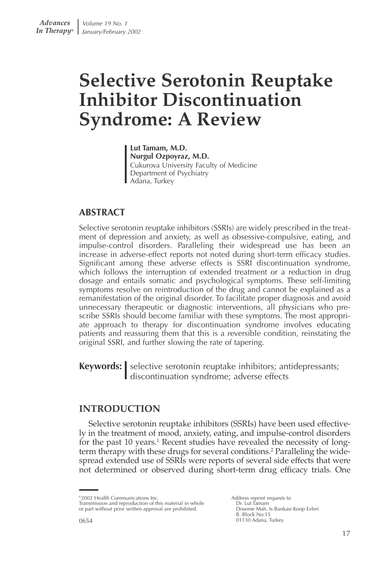# **Selective Serotonin Reuptake Inhibitor Discontinuation Syndrome: A Review**

**Lut Tamam, M.D. Nurgul Ozpoyraz, M.D.** Cukurova University Faculty of Medicine Department of Psychiatry Adana, Turkey

# **ABSTRACT**

Selective serotonin reuptake inhibitors (SSRIs) are widely prescribed in the treatment of depression and anxiety, as well as obsessive-compulsive, eating, and impulse-control disorders. Paralleling their widespread use has been an increase in adverse-effect reports not noted during short-term efficacy studies. Significant among these adverse effects is SSRI discontinuation syndrome, which follows the interruption of extended treatment or a reduction in drug dosage and entails somatic and psychological symptoms. These self-limiting symptoms resolve on reintroduction of the drug and cannot be explained as a remanifestation of the original disorder. To facilitate proper diagnosis and avoid unnecessary therapeutic or diagnostic interventions, all physicians who prescribe SSRIs should become familiar with these symptoms. The most appropriate approach to therapy for discontinuation syndrome involves educating patients and reassuring them that this is a reversible condition, reinstating the original SSRI, and further slowing the rate of tapering.

**Keywords:** selective serotonin reuptake inhibitors; antidepressants; discontinuation syndrome; adverse effects

# **INTRODUCTION**

Selective serotonin reuptake inhibitors (SSRIs) have been used effectively in the treatment of mood, anxiety, eating, and impulse-control disorders for the past 10 years.<sup>1</sup> Recent studies have revealed the necessity of longterm therapy with these drugs for several conditions.<sup>2</sup> Paralleling the widespread extended use of SSRIs were reports of several side effects that were not determined or observed during short-term drug efficacy trials. One

<sup>©2002</sup> Health Communications Inc. Transmission and reproduction of this material in whole or part without prior written approval are prohibited.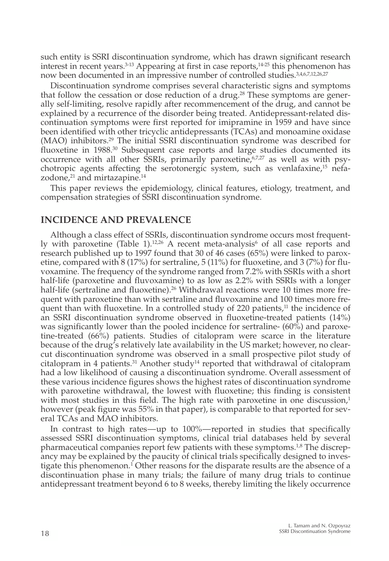such entity is SSRI discontinuation syndrome, which has drawn significant research interest in recent years.<sup>3-13</sup> Appearing at first in case reports,<sup>14-25</sup> this phenomenon has now been documented in an impressive number of controlled studies.3,4,6,7,12,26,27

Discontinuation syndrome comprises several characteristic signs and symptoms that follow the cessation or dose reduction of a drug.<sup>28</sup> These symptoms are generally self-limiting, resolve rapidly after recommencement of the drug, and cannot be explained by a recurrence of the disorder being treated. Antidepressant-related discontinuation symptoms were first reported for imipramine in 1959 and have since been identified with other tricyclic antidepressants (TCAs) and monoamine oxidase (MAO) inhibitors.29 The initial SSRI discontinuation syndrome was described for fluoxetine in 1988.<sup>30</sup> Subsequent case reports and large studies documented its occurrence with all other SSRIs, primarily paroxetine, $67,27$  as well as with psychotropic agents affecting the serotonergic system, such as venlafaxine,15 nefazodone, $21$  and mirtazapine.<sup>14</sup>

This paper reviews the epidemiology, clinical features, etiology, treatment, and compensation strategies of SSRI discontinuation syndrome.

#### **INCIDENCE AND PREVALENCE**

Although a class effect of SSRIs, discontinuation syndrome occurs most frequently with paroxetine (Table 1).<sup>12,26</sup> A recent meta-analysis<sup>6</sup> of all case reports and research published up to 1997 found that 30 of 46 cases (65%) were linked to paroxetine, compared with 8 (17%) for sertraline, 5 (11%) for fluoxetine, and 3 (7%) for fluvoxamine. The frequency of the syndrome ranged from 7.2% with SSRIs with a short half-life (paroxetine and fluvoxamine) to as low as 2.2% with SSRIs with a longer half-life (sertraline and fluoxetine).<sup>26</sup> Withdrawal reactions were 10 times more frequent with paroxetine than with sertraline and fluvoxamine and 100 times more frequent than with fluoxetine. In a controlled study of 220 patients, $11$  the incidence of an SSRI discontinuation syndrome observed in fluoxetine-treated patients (14%) was significantly lower than the pooled incidence for sertraline- (60%) and paroxetine-treated (66%) patients. Studies of citalopram were scarce in the literature because of the drug's relatively late availability in the US market; however, no clearcut discontinuation syndrome was observed in a small prospective pilot study of citalopram in 4 patients.<sup>31</sup> Another study<sup>14</sup> reported that withdrawal of citalopram had a low likelihood of causing a discontinuation syndrome. Overall assessment of these various incidence figures shows the highest rates of discontinuation syndrome with paroxetine withdrawal, the lowest with fluoxetine; this finding is consistent with most studies in this field. The high rate with paroxetine in one discussion, $<sup>1</sup>$ </sup> however (peak figure was 55% in that paper), is comparable to that reported for several TCAs and MAO inhibitors.

In contrast to high rates—up to 100%—reported in studies that specifically assessed SSRI discontinuation symptoms, clinical trial databases held by several pharmaceutical companies report few patients with these symptoms.<sup>1,8</sup> The discrepancy may be explained by the paucity of clinical trials specifically designed to investigate this phenomenon.1 Other reasons for the disparate results are the absence of a discontinuation phase in many trials; the failure of many drug trials to continue antidepressant treatment beyond 6 to 8 weeks, thereby limiting the likely occurrence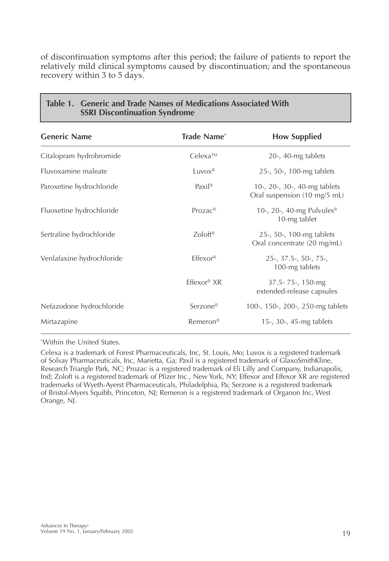of discontinuation symptoms after this period; the failure of patients to report the relatively mild clinical symptoms caused by discontinuation; and the spontaneous recovery within 3 to 5 days.

| <b>Generic Name</b>       | <b>Trade Name*</b>    | <b>How Supplied</b>                                          |
|---------------------------|-----------------------|--------------------------------------------------------------|
| Citalopram hydrobromide   | $Celexa^{TM}$         | $20$ -, 40-mg tablets                                        |
| Fluvoxamine maleate       | $Luvox^{\circledR}$   | 25-, 50-, 100-mg tablets                                     |
| Paroxetine hydrochloride  | $Paxil^{\circledR}$   | 10-, 20-, 30-, 40-mg tablets<br>Oral suspension (10 mg/5 mL) |
| Fluoxetine hydrochloride  | $Prozac^{\circledR}$  | 10-, 20-, 40-mg Pulvules <sup>®</sup><br>10-mg tablet        |
| Sertraline hydrochloride  | $Zoloft^{\otimes}$    | 25-, 50-, 100-mg tablets<br>Oral concentrate (20 mg/mL)      |
| Venlafaxine hydrochloride | $Effexor^{\circledR}$ | $25$ -, 37.5-, 50-, 75-,<br>100-mg tablets                   |
|                           | $Effexor®$ XR         | 37.5-75-, 150-mg<br>extended-release capsules                |
| Nefazodone hydrochloride  | Serzone <sup>®</sup>  | 100-, 150-, 200-, 250-mg tablets                             |
| Mirtazapine               | Remeron <sup>®</sup>  | 15-, $30-$ , 45-mg tablets                                   |

# **Table 1. Generic and Trade Names of Medications Associated With SSRI Discontinuation Syndrome**

\* Within the United States.

Celexa is a trademark of Forest Pharmaceuticals, Inc, St. Louis, Mo; Luvox is a registered trademark of Solvay Pharmaceuticals, Inc, Marietta, Ga; Paxil is a registered trademark of GlaxoSmithKline, Research Triangle Park, NC; Prozac is a registered trademark of Eli Lilly and Company, Indianapolis, Ind; Zoloft is a registered trademark of Pfizer Inc., New York, NY; Effexor and Effexor XR are registered trademarks of Wyeth-Ayerst Pharmaceuticals, Philadelphia, Pa; Serzone is a registered trademark of Bristol-Myers Squibb, Princeton, NJ; Remeron is a registered trademark of Organon Inc, West Orange, NJ.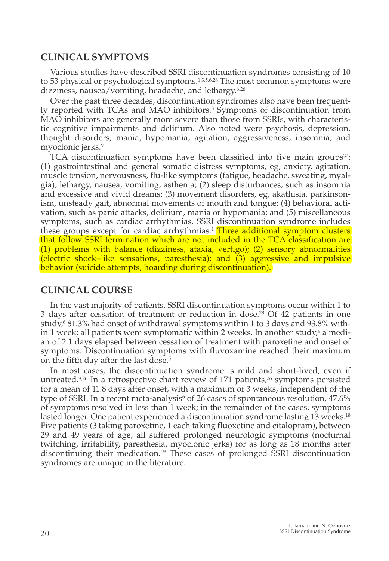## **CLINICAL SYMPTOMS**

Various studies have described SSRI discontinuation syndromes consisting of 10 to 53 physical or psychological symptoms.<sup>1,3,5,6,26</sup> The most common symptoms were dizziness, nausea/vomiting, headache, and lethargy.<sup>6,26</sup>

Over the past three decades, discontinuation syndromes also have been frequently reported with TCAs and MAO inhibitors.8 Symptoms of discontinuation from MAO inhibitors are generally more severe than those from SSRIs, with characteristic cognitive impairments and delirium. Also noted were psychosis, depression, thought disorders, mania, hypomania, agitation, aggressiveness, insomnia, and myoclonic jerks.<sup>9</sup>

TCA discontinuation symptoms have been classified into five main groups $32$ : (1) gastrointestinal and general somatic distress symptoms, eg, anxiety, agitation, muscle tension, nervousness, flu-like symptoms (fatigue, headache, sweating, myalgia), lethargy, nausea, vomiting, asthenia; (2) sleep disturbances, such as insomnia and excessive and vivid dreams; (3) movement disorders, eg, akathisia, parkinsonism, unsteady gait, abnormal movements of mouth and tongue; (4) behavioral activation, such as panic attacks, delirium, mania or hypomania; and (5) miscellaneous symptoms, such as cardiac arrhythmias. SSRI discontinuation syndrome includes these groups except for cardiac arrhythmias.<sup>1</sup> Three additional symptom clusters that follow SSRI termination which are not included in the TCA classification are (1) problems with balance (dizziness, ataxia, vertigo); (2) sensory abnormalities (electric shock–like sensations, paresthesia); and  $\overline{3}$  aggressive and impulsive behavior (suicide attempts, hoarding during discontinuation).

# **CLINICAL COURSE**

In the vast majority of patients, SSRI discontinuation symptoms occur within 1 to 3 days after cessation of treatment or reduction in dose.<sup>28</sup> Of 42 patients in one study, $681.3\%$  had onset of withdrawal symptoms within 1 to 3 days and 93.8% within 1 week; all patients were symptomatic within 2 weeks. In another study, $4$  a median of 2.1 days elapsed between cessation of treatment with paroxetine and onset of symptoms. Discontinuation symptoms with fluvoxamine reached their maximum on the fifth day after the last dose.<sup>5</sup>

In most cases, the discontinuation syndrome is mild and short-lived, even if untreated.<sup>9,26</sup> In a retrospective chart review of 171 patients,<sup>26</sup> symptoms persisted for a mean of 11.8 days after onset, with a maximum of 3 weeks, independent of the type of SSRI. In a recent meta-analysis<sup>6</sup> of 26 cases of spontaneous resolution,  $47.6\%$ of symptoms resolved in less than 1 week; in the remainder of the cases, symptoms lasted longer. One patient experienced a discontinuation syndrome lasting 13 weeks.<sup>18</sup> Five patients (3 taking paroxetine, 1 each taking fluoxetine and citalopram), between 29 and 49 years of age, all suffered prolonged neurologic symptoms (nocturnal twitching, irritability, paresthesia, myoclonic jerks) for as long as 18 months after discontinuing their medication.19 These cases of prolonged SSRI discontinuation syndromes are unique in the literature.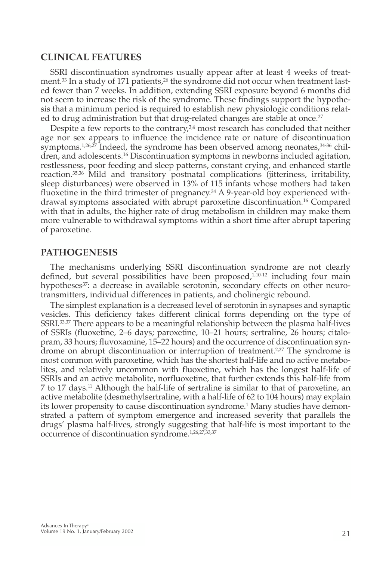#### **CLINICAL FEATURES**

SSRI discontinuation syndromes usually appear after at least 4 weeks of treatment.<sup>33</sup> In a study of 171 patients,<sup>26</sup> the syndrome did not occur when treatment lasted fewer than 7 weeks. In addition, extending SSRI exposure beyond 6 months did not seem to increase the risk of the syndrome. These findings support the hypothesis that a minimum period is required to establish new physiologic conditions related to drug administration but that drug-related changes are stable at once.<sup>27</sup>

Despite a few reports to the contrary, $34$  most research has concluded that neither age nor sex appears to influence the incidence rate or nature of discontinuation symptoms.<sup>1,26,27</sup> Indeed, the syndrome has been observed among neonates, $34-36$  children, and adolescents.16 Discontinuation symptoms in newborns included agitation, restlessness, poor feeding and sleep patterns, constant crying, and enhanced startle reaction.35,36 Mild and transitory postnatal complications (jitteriness, irritability, sleep disturbances) were observed in 13% of 115 infants whose mothers had taken fluoxetine in the third trimester of pregnancy.34 A 9-year-old boy experienced withdrawal symptoms associated with abrupt paroxetine discontinuation.16 Compared with that in adults, the higher rate of drug metabolism in children may make them more vulnerable to withdrawal symptoms within a short time after abrupt tapering of paroxetine.

#### **PATHOGENESIS**

The mechanisms underlying SSRI discontinuation syndrome are not clearly defined, but several possibilities have been proposed, $1,10-12$  including four main hypotheses<sup>37</sup>: a decrease in available serotonin, secondary effects on other neurotransmitters, individual differences in patients, and cholinergic rebound.

The simplest explanation is a decreased level of serotonin in synapses and synaptic vesicles. This deficiency takes different clinical forms depending on the type of SSRI.33,37 There appears to be a meaningful relationship between the plasma half-lives of SSRIs (fluoxetine, 2–6 days; paroxetine, 10–21 hours; sertraline, 26 hours; citalopram, 33 hours; fluvoxamine, 15–22 hours) and the occurrence of discontinuation syndrome on abrupt discontinuation or interruption of treatment.<sup>2,27</sup> The syndrome is most common with paroxetine, which has the shortest half-life and no active metabolites, and relatively uncommon with fluoxetine, which has the longest half-life of SSRIs and an active metabolite, norfluoxetine, that further extends this half-life from 7 to 17 days.11 Although the half-life of sertraline is similar to that of paroxetine, an active metabolite (desmethylsertraline, with a half-life of 62 to 104 hours) may explain its lower propensity to cause discontinuation syndrome.<sup>1</sup> Many studies have demonstrated a pattern of symptom emergence and increased severity that parallels the drugs' plasma half-lives, strongly suggesting that half-life is most important to the occurrence of discontinuation syndrome.1,26,27,33,37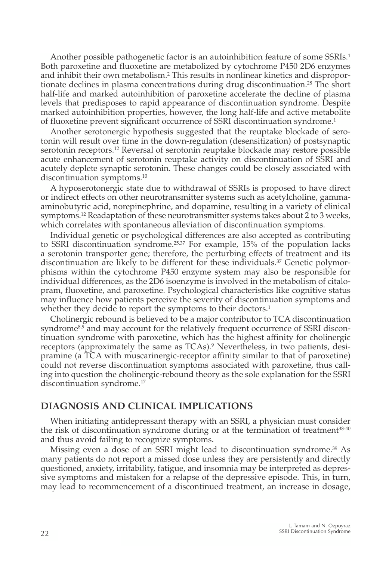Another possible pathogenetic factor is an autoinhibition feature of some SSRIs.1 Both paroxetine and fluoxetine are metabolized by cytochrome P450 2D6 enzymes and inhibit their own metabolism.2 This results in nonlinear kinetics and disproportionate declines in plasma concentrations during drug discontinuation.28 The short half-life and marked autoinhibition of paroxetine accelerate the decline of plasma levels that predisposes to rapid appearance of discontinuation syndrome. Despite marked autoinhibition properties, however, the long half-life and active metabolite of fluoxetine prevent significant occurrence of SSRI discontinuation syndrome.1

Another serotonergic hypothesis suggested that the reuptake blockade of serotonin will result over time in the down-regulation (desensitization) of postsynaptic serotonin receptors.12 Reversal of serotonin reuptake blockade may restore possible acute enhancement of serotonin reuptake activity on discontinuation of SSRI and acutely deplete synaptic serotonin. These changes could be closely associated with discontinuation symptoms.<sup>10</sup>

A hyposerotonergic state due to withdrawal of SSRIs is proposed to have direct or indirect effects on other neurotransmitter systems such as acetylcholine, gammaaminobutyric acid, norepinephrine, and dopamine, resulting in a variety of clinical symptoms.12 Readaptation of these neurotransmitter systems takes about 2 to 3 weeks, which correlates with spontaneous alleviation of discontinuation symptoms.

Individual genetic or psychological differences are also accepted as contributing to SSRI discontinuation syndrome.<sup>25,37</sup> For example, 15% of the population lacks a serotonin transporter gene; therefore, the perturbing effects of treatment and its discontinuation are likely to be different for these individuals.37 Genetic polymorphisms within the cytochrome P450 enzyme system may also be responsible for individual differences, as the 2D6 isoenzyme is involved in the metabolism of citalopram, fluoxetine, and paroxetine. Psychological characteristics like cognitive status may influence how patients perceive the severity of discontinuation symptoms and whether they decide to report the symptoms to their doctors.<sup>1</sup>

Cholinergic rebound is believed to be a major contributor to TCA discontinuation syndrome<sup>8,9</sup> and may account for the relatively frequent occurrence of SSRI discontinuation syndrome with paroxetine, which has the highest affinity for cholinergic receptors (approximately the same as TCAs).<sup>9</sup> Nevertheless, in two patients, desipramine (a TCA with muscarinergic-receptor affinity similar to that of paroxetine) could not reverse discontinuation symptoms associated with paroxetine, thus calling into question the cholinergic-rebound theory as the sole explanation for the SSRI discontinuation syndrome.<sup>17</sup>

# **DIAGNOSIS AND CLINICAL IMPLICATIONS**

When initiating antidepressant therapy with an SSRI, a physician must consider the risk of discontinuation syndrome during or at the termination of treatment $38-40$ and thus avoid failing to recognize symptoms.

Missing even a dose of an SSRI might lead to discontinuation syndrome.39 As many patients do not report a missed dose unless they are persistently and directly questioned, anxiety, irritability, fatigue, and insomnia may be interpreted as depressive symptoms and mistaken for a relapse of the depressive episode. This, in turn, may lead to recommencement of a discontinued treatment, an increase in dosage,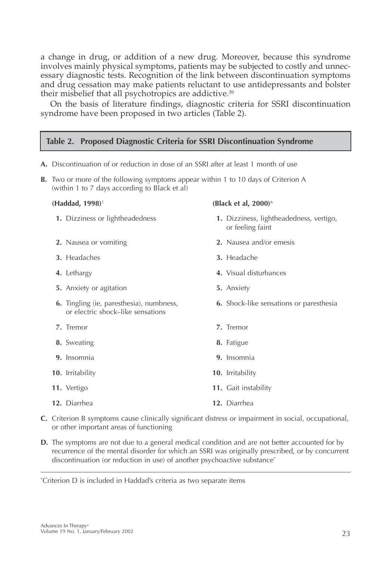a change in drug, or addition of a new drug. Moreover, because this syndrome involves mainly physical symptoms, patients may be subjected to costly and unnecessary diagnostic tests. Recognition of the link between discontinuation symptoms and drug cessation may make patients reluctant to use antidepressants and bolster their misbelief that all psychotropics are addictive.<sup>39</sup>

On the basis of literature findings, diagnostic criteria for SSRI discontinuation syndrome have been proposed in two articles (Table 2).

#### **Table 2. Proposed Diagnostic Criteria for SSRI Discontinuation Syndrome**

**A.** Discontinuation of or reduction in dose of an SSRI after at least 1 month of use

**B.** Two or more of the following symptoms appear within 1 to 10 days of Criterion A

- (within 1 to 7 days according to Black et al) **(Haddad, 1998)**<sup>1</sup> **(Black et al, 2000)**<sup>6</sup> **1.** Dizziness or lightheadedness **1.** Dizziness, lightheadedness, vertigo, or feeling faint **2.** Nausea or vomiting **2.** Nausea and/or emesis **3.** Headaches **3.** Headache **4.** Lethargy **4.** Visual disturbances **5.** Anxiety or agitation **5.** Anxiety **6.** Tingling (ie, paresthesia), numbness, **6.** Shock-like sensations or paresthesia or electric shock–like sensations **7.** Tremor **7.** Tremor **8.** Sweating **8.** Fatigue **9.** Insomnia **9.** Insomnia **10.** Irritability **10.** Irritability **11.** Vertigo **11.** Gait instability **12.** Diarrhea **12.** Diarrhea
- **C.** Criterion B symptoms cause clinically significant distress or impairment in social, occupational, or other important areas of functioning
- **D.** The symptoms are not due to a general medical condition and are not better accounted for by recurrence of the mental disorder for which an SSRI was originally prescribed, or by concurrent discontinuation (or reduction in use) of another psychoactive substance\*

\* Criterion D is included in Haddad's criteria as two separate items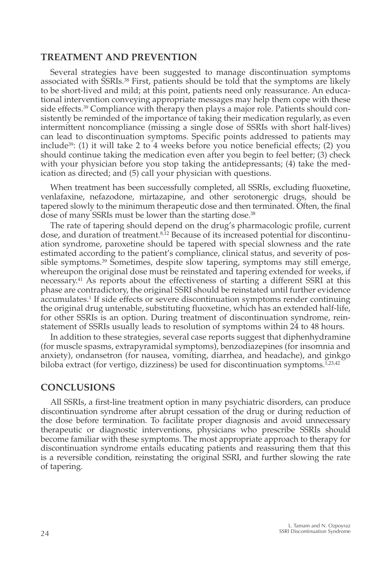## **TREATMENT AND PREVENTION**

Several strategies have been suggested to manage discontinuation symptoms associated with SSRIs.38 First, patients should be told that the symptoms are likely to be short-lived and mild; at this point, patients need only reassurance. An educational intervention conveying appropriate messages may help them cope with these side effects.39 Compliance with therapy then plays a major role. Patients should consistently be reminded of the importance of taking their medication regularly, as even intermittent noncompliance (missing a single dose of SSRIs with short half-lives) can lead to discontinuation symptoms. Specific points addressed to patients may include<sup>39</sup>: (1) it will take 2 to 4 weeks before you notice beneficial effects; (2) you should continue taking the medication even after you begin to feel better; (3) check with your physician before you stop taking the antidepressants; (4) take the medication as directed; and (5) call your physician with questions.

When treatment has been successfully completed, all SSRIs, excluding fluoxetine, venlafaxine, nefazodone, mirtazapine, and other serotonergic drugs, should be tapered slowly to the minimum therapeutic dose and then terminated. Often, the final dose of many SSRIs must be lower than the starting dose.<sup>38</sup>

The rate of tapering should depend on the drug's pharmacologic profile, current dose, and duration of treatment.8,12 Because of its increased potential for discontinuation syndrome, paroxetine should be tapered with special slowness and the rate estimated according to the patient's compliance, clinical status, and severity of possible symptoms.39 Sometimes, despite slow tapering, symptoms may still emerge, whereupon the original dose must be reinstated and tapering extended for weeks, if necessary.41 As reports about the effectiveness of starting a different SSRI at this phase are contradictory, the original SSRI should be reinstated until further evidence accumulates.1 If side effects or severe discontinuation symptoms render continuing the original drug untenable, substituting fluoxetine, which has an extended half-life, for other SSRIs is an option. During treatment of discontinuation syndrome, reinstatement of SSRIs usually leads to resolution of symptoms within 24 to 48 hours.

In addition to these strategies, several case reports suggest that diphenhydramine (for muscle spasms, extrapyramidal symptoms), benzodiazepines (for insomnia and anxiety), ondansetron (for nausea, vomiting, diarrhea, and headache), and ginkgo biloba extract (for vertigo, dizziness) be used for discontinuation symptoms. $1,23,42$ 

#### **CONCLUSIONS**

All SSRIs, a first-line treatment option in many psychiatric disorders, can produce discontinuation syndrome after abrupt cessation of the drug or during reduction of the dose before termination. To facilitate proper diagnosis and avoid unnecessary therapeutic or diagnostic interventions, physicians who prescribe SSRIs should become familiar with these symptoms. The most appropriate approach to therapy for discontinuation syndrome entails educating patients and reassuring them that this is a reversible condition, reinstating the original SSRI, and further slowing the rate of tapering.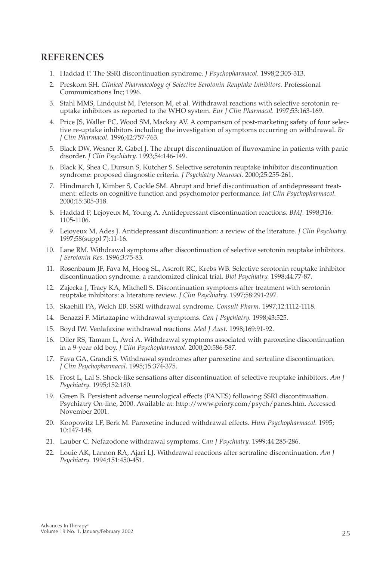# **REFERENCES**

- 1. Haddad P. The SSRI discontinuation syndrome. *J Psychopharmacol.* 1998;2:305-313.
- 2. Preskorn SH. *Clinical Pharmacology of Selective Serotonin Reuptake Inhibitors.* Professional Communications Inc; 1996.
- 3. Stahl MMS, Lindquist M, Peterson M, et al. Withdrawal reactions with selective serotonin reuptake inhibitors as reported to the WHO system. *Eur J Clin Pharmacol.* 1997;53:163-169.
- 4. Price JS, Waller PC, Wood SM, Mackay AV. A comparison of post-marketing safety of four selective re-uptake inhibitors including the investigation of symptoms occurring on withdrawal. *Br J Clin Pharmacol.* 1996;42:757-763.
- 5. Black DW, Wesner R, Gabel J. The abrupt discontinuation of fluvoxamine in patients with panic disorder. *J Clin Psychiatry.* 1993;54:146-149.
- 6. Black K, Shea C, Dursun S, Kutcher S. Selective serotonin reuptake inhibitor discontinuation syndrome: proposed diagnostic criteria. *J Psychiatry Neurosci.* 2000;25:255-261.
- 7. Hindmarch I, Kimber S, Cockle SM. Abrupt and brief discontinuation of antidepressant treatment: effects on cognitive function and psychomotor performance. *Int Clin Psychopharmacol.* 2000;15:305-318.
- 8. Haddad P, Lejoyeux M, Young A. Antidepressant discontinuation reactions. *BMJ.* 1998;316: 1105-1106.
- 9. Lejoyeux M, Ades J. Antidepressant discontinuation: a review of the literature. *J Clin Psychiatry.* 1997;58(suppl 7):11-16.
- 10. Lane RM. Withdrawal symptoms after discontinuation of selective serotonin reuptake inhibitors. *J Serotonin Res.* 1996;3:75-83.
- 11. Rosenbaum JF, Fava M, Hoog SL, Ascroft RC, Krebs WB. Selective serotonin reuptake inhibitor discontinuation syndrome: a randomized clinical trial. *Biol Psychiatry.* 1998;44:77-87.
- 12. Zajecka J, Tracy KA, Mitchell S. Discontinuation symptoms after treatment with serotonin reuptake inhibitors: a literature review. *J Clin Psychiatry.* 1997;58:291-297.
- 13. Skaehill PA, Welch EB. SSRI withdrawal syndrome. *Consult Pharm.* 1997;12:1112-1118.
- 14. Benazzi F. Mirtazapine withdrawal symptoms. *Can J Psychiatry.* 1998;43:525.
- 15. Boyd IW. Venlafaxine withdrawal reactions. *Med J Aust.* 1998;169:91-92.
- 16. Diler RS, Tamam L, Avci A. Withdrawal symptoms associated with paroxetine discontinuation in a 9-year old boy. *J Clin Psychopharmacol.* 2000;20:586-587.
- 17. Fava GA, Grandi S. Withdrawal syndromes after paroxetine and sertraline discontinuation. *J Clin Psychopharmacol.* 1995;15:374-375.
- 18. Frost L, Lal S. Shock-like sensations after discontinuation of selective reuptake inhibitors. *Am J Psychiatry.* 1995;152:180.
- 19. Green B. Persistent adverse neurological effects (PANES) following SSRI discontinuation. Psychiatry On-line, 2000. Available at: http://www.priory.com/psych/panes.htm. Accessed November 2001.
- 20. Koopowitz LF, Berk M. Paroxetine induced withdrawal effects. *Hum Psychopharmacol.* 1995; 10:147-148.
- 21. Lauber C. Nefazodone withdrawal symptoms. *Can J Psychiatry.* 1999;44:285-286.
- 22. Louie AK, Lannon RA, Ajari LJ. Withdrawal reactions after sertraline discontinuation. *Am J Psychiatry.* 1994;151:450-451.